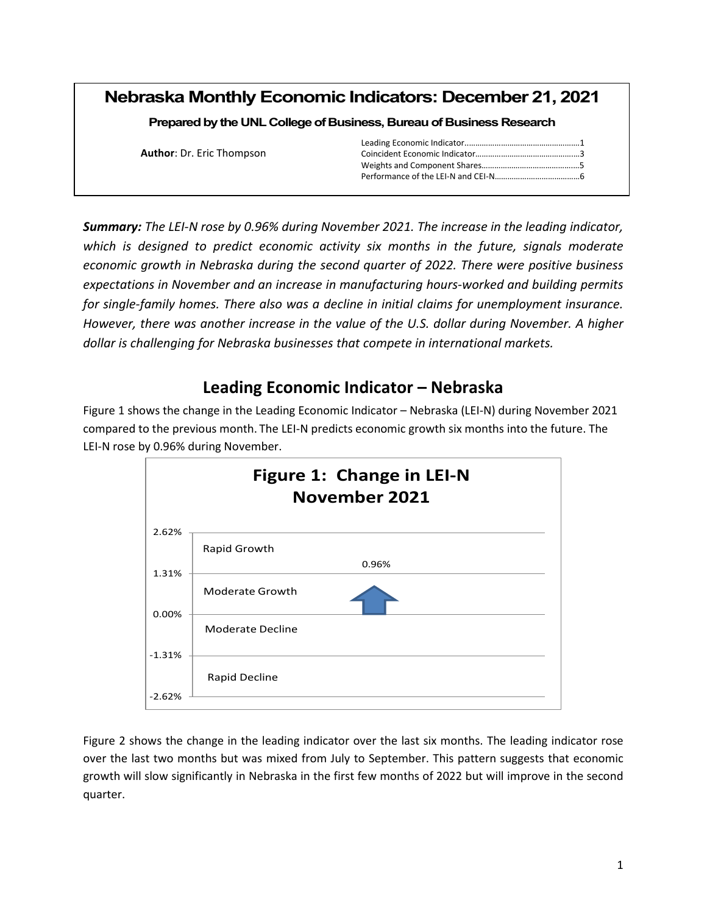|  |  | <b>Nebraska Monthly Economic Indicators: December 21, 2021</b> |
|--|--|----------------------------------------------------------------|
|--|--|----------------------------------------------------------------|

**Prepared by the UNL College of Business, Bureau of Business Research** 

| <b>Author: Dr. Eric Thompson</b> |  |
|----------------------------------|--|
|                                  |  |
|                                  |  |

*Summary: The LEI-N rose by 0.96% during November 2021. The increase in the leading indicator, which is designed to predict economic activity six months in the future, signals moderate economic growth in Nebraska during the second quarter of 2022. There were positive business expectations in November and an increase in manufacturing hours-worked and building permits for single-family homes. There also was a decline in initial claims for unemployment insurance. However, there was another increase in the value of the U.S. dollar during November. A higher dollar is challenging for Nebraska businesses that compete in international markets.* 

## **Leading Economic Indicator – Nebraska**

Figure 1 shows the change in the Leading Economic Indicator – Nebraska (LEI-N) during November 2021 compared to the previous month. The LEI-N predicts economic growth six months into the future. The LEI-N rose by 0.96% during November.



Figure 2 shows the change in the leading indicator over the last six months. The leading indicator rose over the last two months but was mixed from July to September. This pattern suggests that economic growth will slow significantly in Nebraska in the first few months of 2022 but will improve in the second quarter.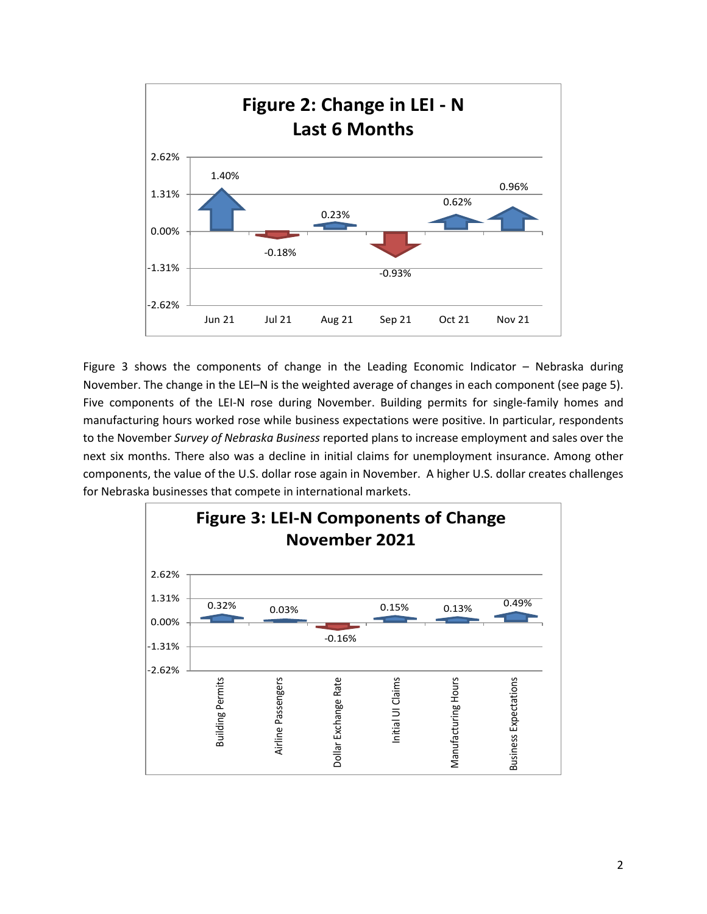

Figure 3 shows the components of change in the Leading Economic Indicator – Nebraska during November. The change in the LEI–N is the weighted average of changes in each component (see page 5). Five components of the LEI-N rose during November. Building permits for single-family homes and manufacturing hours worked rose while business expectations were positive. In particular, respondents to the November *Survey of Nebraska Business* reported plans to increase employment and sales over the next six months. There also was a decline in initial claims for unemployment insurance. Among other components, the value of the U.S. dollar rose again in November. A higher U.S. dollar creates challenges for Nebraska businesses that compete in international markets.

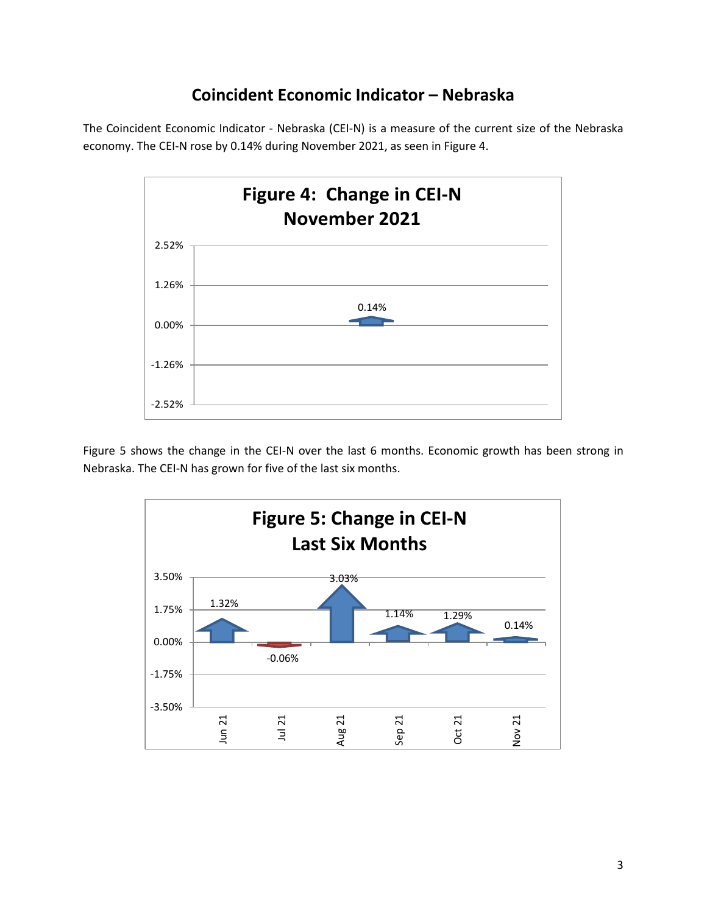## **Coincident Economic Indicator – Nebraska**

The Coincident Economic Indicator - Nebraska (CEI-N) is a measure of the current size of the Nebraska economy. The CEI-N rose by 0.14% during November 2021, as seen in Figure 4.



Figure 5 shows the change in the CEI-N over the last 6 months. Economic growth has been strong in Nebraska. The CEI-N has grown for five of the last six months.

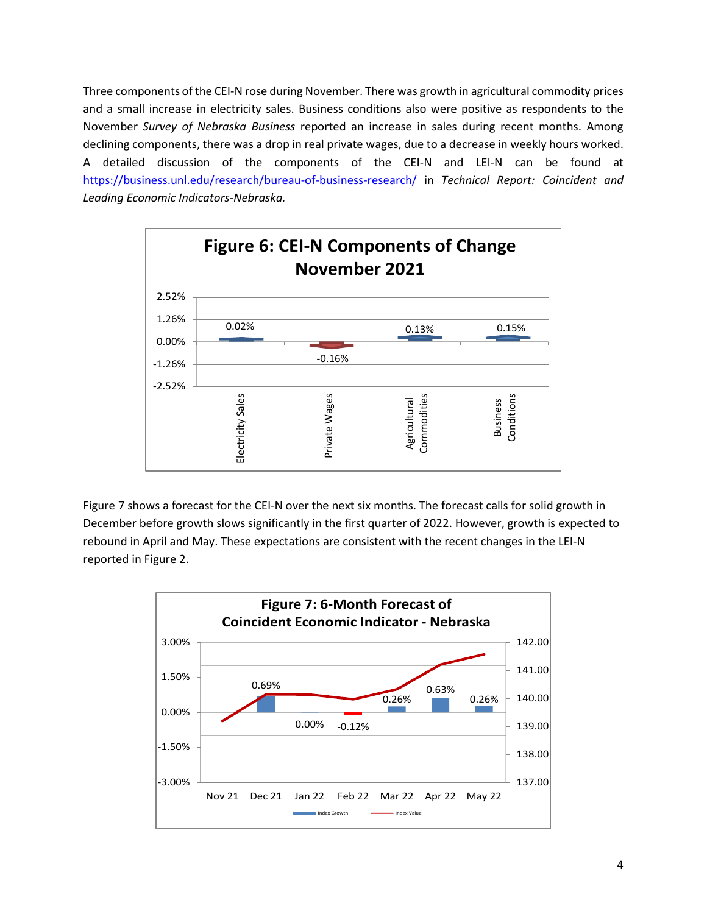Three components of the CEI-N rose during November. There was growth in agricultural commodity prices and a small increase in electricity sales. Business conditions also were positive as respondents to the November *Survey of Nebraska Business* reported an increase in sales during recent months. Among declining components, there was a drop in real private wages, due to a decrease in weekly hours worked. A detailed discussion of the components of the CEI-N and LEI-N can be found at https://business.unl.edu/research/bureau-of-business-research/ in *Technical Report: Coincident and Leading Economic Indicators-Nebraska.*



Figure 7 shows a forecast for the CEI-N over the next six months. The forecast calls for solid growth in December before growth slows significantly in the first quarter of 2022. However, growth is expected to rebound in April and May. These expectations are consistent with the recent changes in the LEI-N reported in Figure 2.

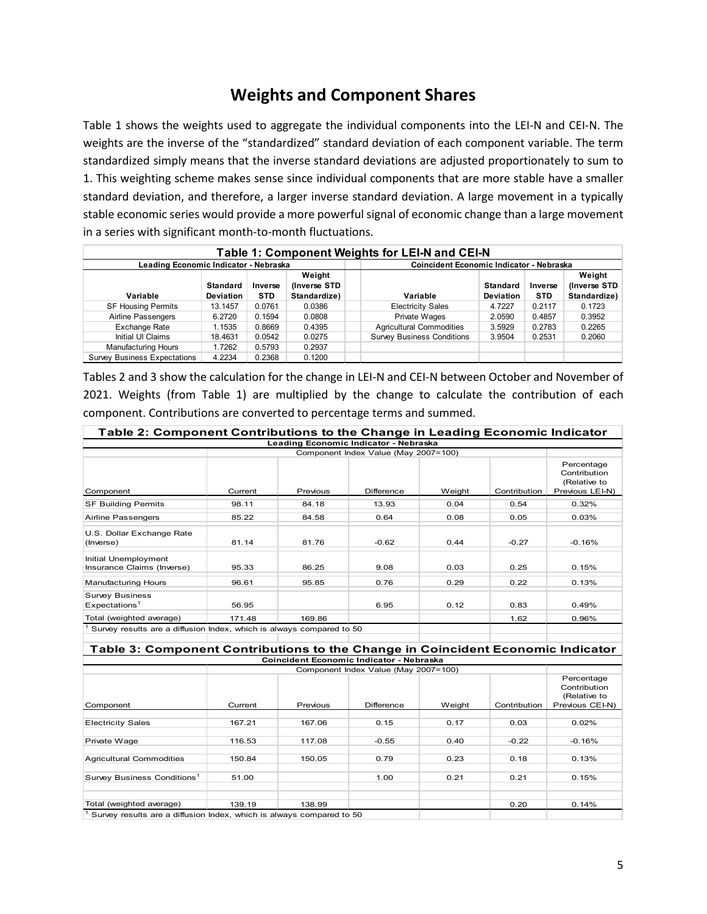## **Weights and Component Shares**

Table 1 shows the weights used to aggregate the individual components into the LEI-N and CEI-N. The weights are the inverse of the "standardized" standard deviation of each component variable. The term standardized simply means that the inverse standard deviations are adjusted proportionately to sum to 1. This weighting scheme makes sense since individual components that are more stable have a smaller standard deviation, and therefore, a larger inverse standard deviation. A large movement in a typically stable economic series would provide a more powerful signal of economic change than a large movement in a series with significant month-to-month fluctuations.

| Table 1: Component Weights for LEI-N and CEI-N |                                     |                                                 |                                        |                                   |                              |                       |                                        |  |
|------------------------------------------------|-------------------------------------|-------------------------------------------------|----------------------------------------|-----------------------------------|------------------------------|-----------------------|----------------------------------------|--|
| Leading Economic Indicator - Nebraska          |                                     | <b>Coincident Economic Indicator - Nebraska</b> |                                        |                                   |                              |                       |                                        |  |
| Variable                                       | <b>Standard</b><br><b>Deviation</b> | Inverse<br><b>STD</b>                           | Weight<br>(Inverse STD<br>Standardize) | Variable                          | Standard<br><b>Deviation</b> | Inverse<br><b>STD</b> | Weight<br>(Inverse STD<br>Standardize) |  |
| <b>SF Housing Permits</b>                      | 13.1457                             | 0.0761                                          | 0.0386                                 | <b>Electricity Sales</b>          | 4.7227                       | 0.2117                | 0.1723                                 |  |
| Airline Passengers                             | 6.2720                              | 0.1594                                          | 0.0808                                 | Private Wages                     | 2.0590                       | 0.4857                | 0.3952                                 |  |
| Exchange Rate                                  | 1.1535                              | 0.8669                                          | 0.4395                                 | <b>Agricultural Commodities</b>   | 3.5929                       | 0.2783                | 0.2265                                 |  |
| Initial UI Claims                              | 18.4631                             | 0.0542                                          | 0.0275                                 | <b>Survey Business Conditions</b> | 3.9504                       | 0.2531                | 0.2060                                 |  |
| <b>Manufacturing Hours</b>                     | 1.7262                              | 0.5793                                          | 0.2937                                 |                                   |                              |                       |                                        |  |
| <b>Survey Business Expectations</b>            | 4.2234                              | 0.2368                                          | 0.1200                                 |                                   |                              |                       |                                        |  |

Tables 2 and 3 show the calculation for the change in LEI-N and CEI-N between October and November of 2021. Weights (from Table 1) are multiplied by the change to calculate the contribution of each component. Contributions are converted to percentage terms and summed.

| Table 2: Component Contributions to the Change in Leading Economic Indicator    |         |          |                                          |        |              |                                                               |  |
|---------------------------------------------------------------------------------|---------|----------|------------------------------------------|--------|--------------|---------------------------------------------------------------|--|
|                                                                                 |         |          | Leading Economic Indicator - Nebraska    |        |              |                                                               |  |
|                                                                                 |         |          | Component Index Value (May 2007=100)     |        |              |                                                               |  |
| Component                                                                       | Current | Previous | <b>Difference</b>                        | Weight | Contribution | Percentage<br>Contribution<br>(Relative to<br>Previous LEI-N) |  |
| <b>SF Building Permits</b>                                                      | 98.11   | 84.18    | 13.93                                    | 0.04   | 0.54         | 0.32%                                                         |  |
| Airline Passengers                                                              | 85.22   | 84.58    | 0.64                                     | 0.08   | 0.05         | 0.03%                                                         |  |
| U.S. Dollar Exchange Rate<br>(Inverse)                                          | 81.14   | 81.76    | $-0.62$                                  | 0.44   | $-0.27$      | $-0.16%$                                                      |  |
| Initial Unemployment<br>Insurance Claims (Inverse)                              | 95.33   | 86.25    | 9.08                                     | 0.03   | 0.25         | 0.15%                                                         |  |
| <b>Manufacturing Hours</b>                                                      | 96.61   | 95.85    | 0.76                                     | 0.29   | 0.22         | 0.13%                                                         |  |
| <b>Survey Business</b><br>Expectations <sup>1</sup>                             | 56.95   |          | 6.95                                     | 0.12   | 0.83         | 0.49%                                                         |  |
| Total (weighted average)                                                        | 171.48  | 169.86   |                                          |        | 1.62         | 0.96%                                                         |  |
| Survey results are a diffusion Index, which is always compared to 50            |         |          |                                          |        |              |                                                               |  |
| Table 3: Component Contributions to the Change in Coincident Economic Indicator |         |          |                                          |        |              |                                                               |  |
|                                                                                 |         |          | Coincident Economic Indicator - Nebraska |        |              |                                                               |  |
|                                                                                 |         |          | Component Index Value (May 2007=100)     |        |              |                                                               |  |
| Component                                                                       | Current | Previous | Difference                               | Weight | Contribution | Percentage<br>Contribution<br>(Relative to<br>Previous CEI-N) |  |
|                                                                                 |         |          |                                          |        |              |                                                               |  |
| <b>Electricity Sales</b>                                                        | 167.21  | 167.06   | 0.15                                     | 0.17   | 0.03         | 0.02%                                                         |  |
| Private Wage                                                                    | 116.53  | 117.08   | $-0.55$                                  | 0.40   | $-0.22$      | $-0.16%$                                                      |  |
| <b>Agricultural Commodities</b>                                                 | 150.84  | 150.05   | 0.79                                     | 0.23   | 0.18         | 0.13%                                                         |  |
| Survey Business Conditions <sup>1</sup>                                         | 51.00   |          | 1.00                                     | 0.21   | 0.21         | 0.15%                                                         |  |
| Total (weighted average)                                                        | 139.19  | 138.99   |                                          |        | 0.20         | 0.14%                                                         |  |
| Survey results are a diffusion Index, which is always compared to 50            |         |          |                                          |        |              |                                                               |  |